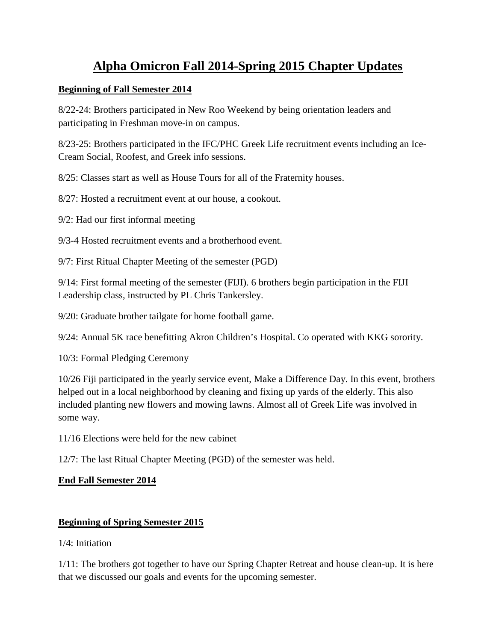# **Alpha Omicron Fall 2014-Spring 2015 Chapter Updates**

### **Beginning of Fall Semester 2014**

8/22-24: Brothers participated in New Roo Weekend by being orientation leaders and participating in Freshman move-in on campus.

8/23-25: Brothers participated in the IFC/PHC Greek Life recruitment events including an Ice-Cream Social, Roofest, and Greek info sessions.

8/25: Classes start as well as House Tours for all of the Fraternity houses.

8/27: Hosted a recruitment event at our house, a cookout.

9/2: Had our first informal meeting

9/3-4 Hosted recruitment events and a brotherhood event.

9/7: First Ritual Chapter Meeting of the semester (PGD)

9/14: First formal meeting of the semester (FIJI). 6 brothers begin participation in the FIJI Leadership class, instructed by PL Chris Tankersley.

9/20: Graduate brother tailgate for home football game.

9/24: Annual 5K race benefitting Akron Children's Hospital. Co operated with KKG sorority.

10/3: Formal Pledging Ceremony

10/26 Fiji participated in the yearly service event, Make a Difference Day. In this event, brothers helped out in a local neighborhood by cleaning and fixing up yards of the elderly. This also included planting new flowers and mowing lawns. Almost all of Greek Life was involved in some way.

11/16 Elections were held for the new cabinet

12/7: The last Ritual Chapter Meeting (PGD) of the semester was held.

## **End Fall Semester 2014**

## **Beginning of Spring Semester 2015**

1/4: Initiation

1/11: The brothers got together to have our Spring Chapter Retreat and house clean-up. It is here that we discussed our goals and events for the upcoming semester.